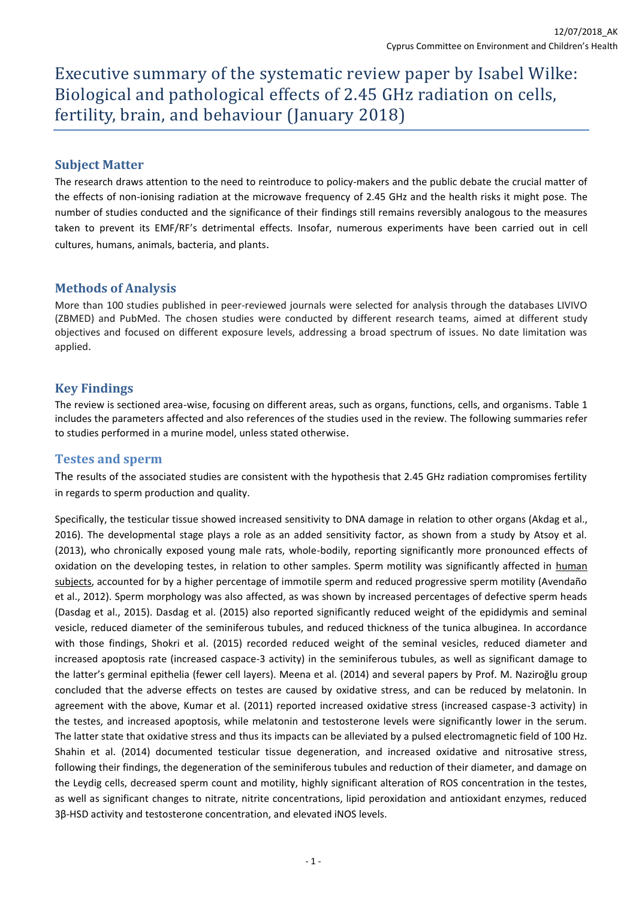Executive summary of the systematic review paper by Isabel Wilke: Biological and pathological effects of 2.45 GHz radiation on cells, fertility, brain, and behaviour (January 2018)

## **Subject Matter**

The research draws attention to the need to reintroduce to policy-makers and the public debate the crucial matter of the effects of non-ionising radiation at the microwave frequency of 2.45 GHz and the health risks it might pose. The number of studies conducted and the significance of their findings still remains reversibly analogous to the measures taken to prevent its EMF/RF's detrimental effects. Insofar, numerous experiments have been carried out in cell cultures, humans, animals, bacteria, and plants.

## **Methods of Analysis**

More than 100 studies published in peer-reviewed journals were selected for analysis through the databases LIVIVO (ZBMED) and PubMed. The chosen studies were conducted by different research teams, aimed at different study objectives and focused on different exposure levels, addressing a broad spectrum of issues. No date limitation was applied.

## **Key Findings**

The review is sectioned area-wise, focusing on different areas, such as organs, functions, cells, and organisms. Table 1 includes the parameters affected and also references of the studies used in the review. The following summaries refer to studies performed in a murine model, unless stated otherwise.

#### **Testes and sperm**

The results of the associated studies are consistent with the hypothesis that 2.45 GHz radiation compromises fertility in regards to sperm production and quality.

Specifically, the testicular tissue showed increased sensitivity to DNA damage in relation to other organs (Akdag et al., 2016). The developmental stage plays a role as an added sensitivity factor, as shown from a study by Atsoy et al. (2013), who chronically exposed young male rats, whole-bodily, reporting significantly more pronounced effects of oxidation on the developing testes, in relation to other samples. Sperm motility was significantly affected in human subjects, accounted for by a higher percentage of immotile sperm and reduced progressive sperm motility (Avendaño et al., 2012). Sperm morphology was also affected, as was shown by increased percentages of defective sperm heads (Dasdag et al., 2015). Dasdag et al. (2015) also reported significantly reduced weight of the epididymis and seminal vesicle, reduced diameter of the seminiferous tubules, and reduced thickness of the tunica albuginea. In accordance with those findings, Shokri et al. (2015) recorded reduced weight of the seminal vesicles, reduced diameter and increased apoptosis rate (increased caspace-3 activity) in the seminiferous tubules, as well as significant damage to the latter's germinal epithelia (fewer cell layers). Meena et al. (2014) and several papers by Prof. M. Naziroğlu group concluded that the adverse effects on testes are caused by oxidative stress, and can be reduced by melatonin. In agreement with the above, Kumar et al. (2011) reported increased oxidative stress (increased caspase-3 activity) in the testes, and increased apoptosis, while melatonin and testosterone levels were significantly lower in the serum. The latter state that oxidative stress and thus its impacts can be alleviated by a pulsed electromagnetic field of 100 Hz. Shahin et al. (2014) documented testicular tissue degeneration, and increased oxidative and nitrosative stress, following their findings, the degeneration of the seminiferous tubules and reduction of their diameter, and damage on the Leydig cells, decreased sperm count and motility, highly significant alteration of ROS concentration in the testes, as well as significant changes to nitrate, nitrite concentrations, lipid peroxidation and antioxidant enzymes, reduced 3β-HSD activity and testosterone concentration, and elevated iNOS levels.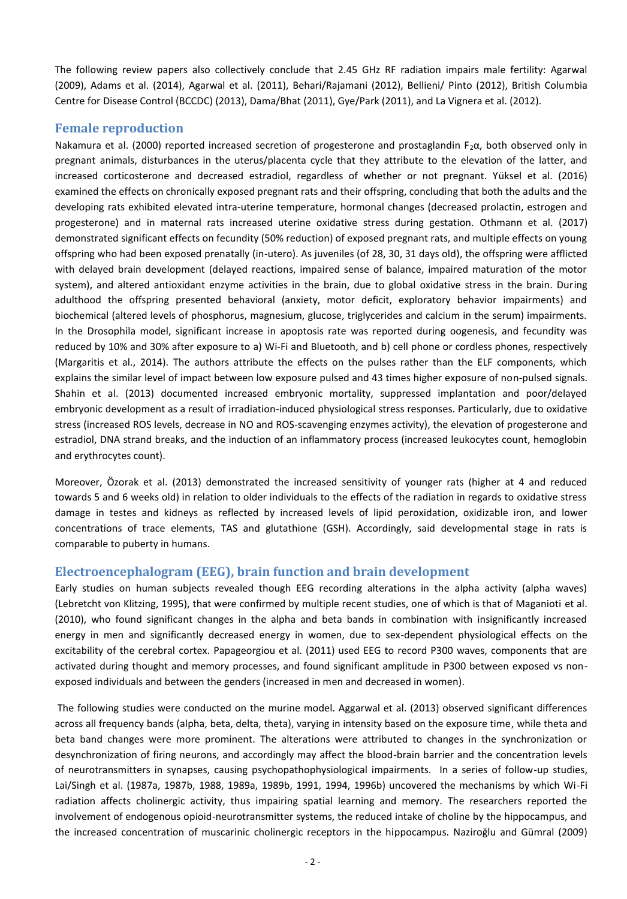The following review papers also collectively conclude that 2.45 GHz RF radiation impairs male fertility: Agarwal (2009), Adams et al. (2014), Agarwal et al. (2011), Behari/Rajamani (2012), Bellieni/ Pinto (2012), British Columbia Centre for Disease Control (BCCDC) (2013), Dama/Bhat (2011), Gye/Park (2011), and La Vignera et al. (2012).

### **Female reproduction**

Nakamura et al. (2000) reported increased secretion of progesterone and prostaglandin F<sub>2</sub>α, both observed only in pregnant animals, disturbances in the uterus/placenta cycle that they attribute to the elevation of the latter, and increased corticosterone and decreased estradiol, regardless of whether or not pregnant. Yüksel et al. (2016) examined the effects on chronically exposed pregnant rats and their offspring, concluding that both the adults and the developing rats exhibited elevated intra-uterine temperature, hormonal changes (decreased prolactin, estrogen and progesterone) and in maternal rats increased uterine oxidative stress during gestation. Othmann et al. (2017) demonstrated significant effects on fecundity (50% reduction) of exposed pregnant rats, and multiple effects on young offspring who had been exposed prenatally (in-utero). As juveniles (of 28, 30, 31 days old), the offspring were afflicted with delayed brain development (delayed reactions, impaired sense of balance, impaired maturation of the motor system), and altered antioxidant enzyme activities in the brain, due to global oxidative stress in the brain. During adulthood the offspring presented behavioral (anxiety, motor deficit, exploratory behavior impairments) and biochemical (altered levels of phosphorus, magnesium, glucose, triglycerides and calcium in the serum) impairments. In the Drosophila model, significant increase in apoptosis rate was reported during oogenesis, and fecundity was reduced by 10% and 30% after exposure to a) Wi-Fi and Bluetooth, and b) cell phone or cordless phones, respectively (Margaritis et al., 2014). The authors attribute the effects on the pulses rather than the ELF components, which explains the similar level of impact between low exposure pulsed and 43 times higher exposure of non-pulsed signals. Shahin et al. (2013) documented increased embryonic mortality, suppressed implantation and poor/delayed embryonic development as a result of irradiation-induced physiological stress responses. Particularly, due to oxidative stress (increased ROS levels, decrease in NO and ROS-scavenging enzymes activity), the elevation of progesterone and estradiol, DNA strand breaks, and the induction of an inflammatory process (increased leukocytes count, hemoglobin and erythrocytes count).

Moreover, Özorak et al. (2013) demonstrated the increased sensitivity of younger rats (higher at 4 and reduced towards 5 and 6 weeks old) in relation to older individuals to the effects of the radiation in regards to oxidative stress damage in testes and kidneys as reflected by increased levels of lipid peroxidation, oxidizable iron, and lower concentrations of trace elements, TAS and glutathione (GSH). Accordingly, said developmental stage in rats is comparable to puberty in humans.

#### **Electroencephalogram (EEG), brain function and brain development**

Early studies on human subjects revealed though EEG recording alterations in the alpha activity (alpha waves) (Lebretcht von Klitzing, 1995), that were confirmed by multiple recent studies, one of which is that of Maganioti et al. (2010), who found significant changes in the alpha and beta bands in combination with insignificantly increased energy in men and significantly decreased energy in women, due to sex-dependent physiological effects on the excitability of the cerebral cortex. Papageorgiou et al. (2011) used EEG to record P300 waves, components that are activated during thought and memory processes, and found significant amplitude in P300 between exposed vs nonexposed individuals and between the genders (increased in men and decreased in women).

The following studies were conducted on the murine model. Aggarwal et al. (2013) observed significant differences across all frequency bands (alpha, beta, delta, theta), varying in intensity based on the exposure time, while theta and beta band changes were more prominent. The alterations were attributed to changes in the synchronization or desynchronization of firing neurons, and accordingly may affect the blood-brain barrier and the concentration levels of neurotransmitters in synapses, causing psychopathophysiological impairments. In a series of follow-up studies, Lai/Singh et al. (1987a, 1987b, 1988, 1989a, 1989b, 1991, 1994, 1996b) uncovered the mechanisms by which Wi-Fi radiation affects cholinergic activity, thus impairing spatial learning and memory. The researchers reported the involvement of endogenous opioid-neurotransmitter systems, the reduced intake of choline by the hippocampus, and the increased concentration of muscarinic cholinergic receptors in the hippocampus. Naziroğlu and Gümral (2009)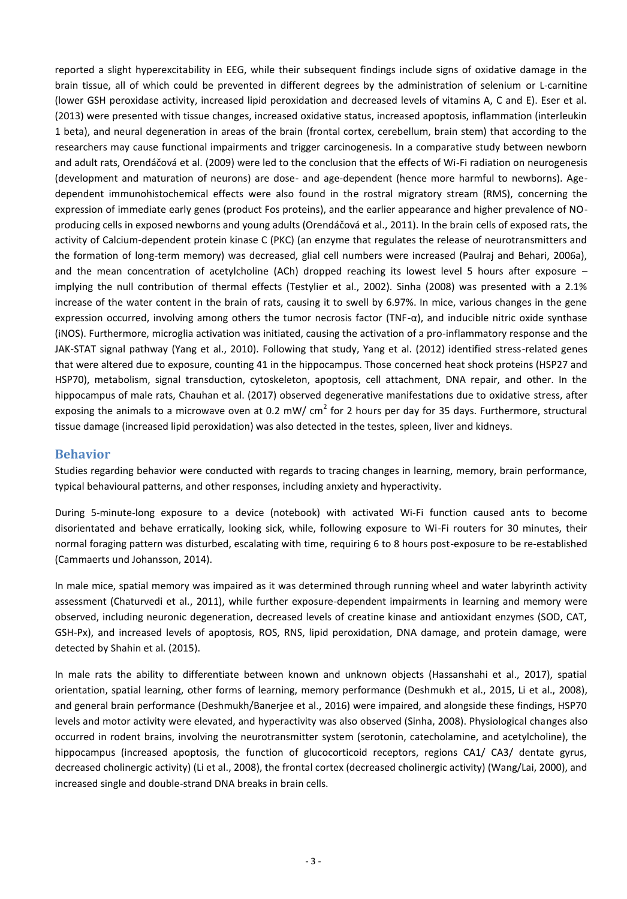reported a slight hyperexcitability in EEG, while their subsequent findings include signs of oxidative damage in the brain tissue, all of which could be prevented in different degrees by the administration of selenium or L-carnitine (lower GSH peroxidase activity, increased lipid peroxidation and decreased levels of vitamins A, C and E). Eser et al. (2013) were presented with tissue changes, increased oxidative status, increased apoptosis, inflammation (interleukin 1 beta), and neural degeneration in areas of the brain (frontal cortex, cerebellum, brain stem) that according to the researchers may cause functional impairments and trigger carcinogenesis. In a comparative study between newborn and adult rats, Orendáčová et al. (2009) were led to the conclusion that the effects of Wi-Fi radiation on neurogenesis (development and maturation of neurons) are dose- and age-dependent (hence more harmful to newborns). Agedependent immunohistochemical effects were also found in the rostral migratory stream (RMS), concerning the expression of immediate early genes (product Fos proteins), and the earlier appearance and higher prevalence of NOproducing cells in exposed newborns and young adults (Orendáčová et al., 2011). In the brain cells of exposed rats, the activity of Calcium-dependent protein kinase C (PKC) (an enzyme that regulates the release of neurotransmitters and the formation of long-term memory) was decreased, glial cell numbers were increased (Paulraj and Behari, 2006a), and the mean concentration of acetylcholine (ACh) dropped reaching its lowest level 5 hours after exposure implying the null contribution of thermal effects (Testylier et al., 2002). Sinha (2008) was presented with a 2.1% increase of the water content in the brain of rats, causing it to swell by 6.97%. In mice, various changes in the gene expression occurred, involving among others the tumor necrosis factor (TNF-α), and inducible nitric oxide synthase (iNOS). Furthermore, microglia activation was initiated, causing the activation of a pro-inflammatory response and the JAK-STAT signal pathway (Yang et al., 2010). Following that study, Yang et al. (2012) identified stress-related genes that were altered due to exposure, counting 41 in the hippocampus. Those concerned heat shock proteins (HSP27 and HSP70), metabolism, signal transduction, cytoskeleton, apoptosis, cell attachment, DNA repair, and other. In the hippocampus of male rats, Chauhan et al. (2017) observed degenerative manifestations due to oxidative stress, after exposing the animals to a microwave oven at 0.2 mW/ cm<sup>2</sup> for 2 hours per day for 35 days. Furthermore, structural tissue damage (increased lipid peroxidation) was also detected in the testes, spleen, liver and kidneys.

#### **Behavior**

Studies regarding behavior were conducted with regards to tracing changes in learning, memory, brain performance, typical behavioural patterns, and other responses, including anxiety and hyperactivity.

During 5-minute-long exposure to a device (notebook) with activated Wi-Fi function caused ants to become disorientated and behave erratically, looking sick, while, following exposure to Wi-Fi routers for 30 minutes, their normal foraging pattern was disturbed, escalating with time, requiring 6 to 8 hours post-exposure to be re-established (Cammaerts und Johansson, 2014).

In male mice, spatial memory was impaired as it was determined through running wheel and water labyrinth activity assessment (Chaturvedi et al., 2011), while further exposure-dependent impairments in learning and memory were observed, including neuronic degeneration, decreased levels of creatine kinase and antioxidant enzymes (SOD, CAT, GSH-Px), and increased levels of apoptosis, ROS, RNS, lipid peroxidation, DNA damage, and protein damage, were detected by Shahin et al. (2015).

In male rats the ability to differentiate between known and unknown objects (Hassanshahi et al., 2017), spatial orientation, spatial learning, other forms of learning, memory performance (Deshmukh et al., 2015, Li et al., 2008), and general brain performance (Deshmukh/Banerjee et al., 2016) were impaired, and alongside these findings, HSP70 levels and motor activity were elevated, and hyperactivity was also observed (Sinha, 2008). Physiological changes also occurred in rodent brains, involving the neurotransmitter system (serotonin, catecholamine, and acetylcholine), the hippocampus (increased apoptosis, the function of glucocorticoid receptors, regions CA1/ CA3/ dentate gyrus, decreased cholinergic activity) (Li et al., 2008), the frontal cortex (decreased cholinergic activity) (Wang/Lai, 2000), and increased single and double-strand DNA breaks in brain cells.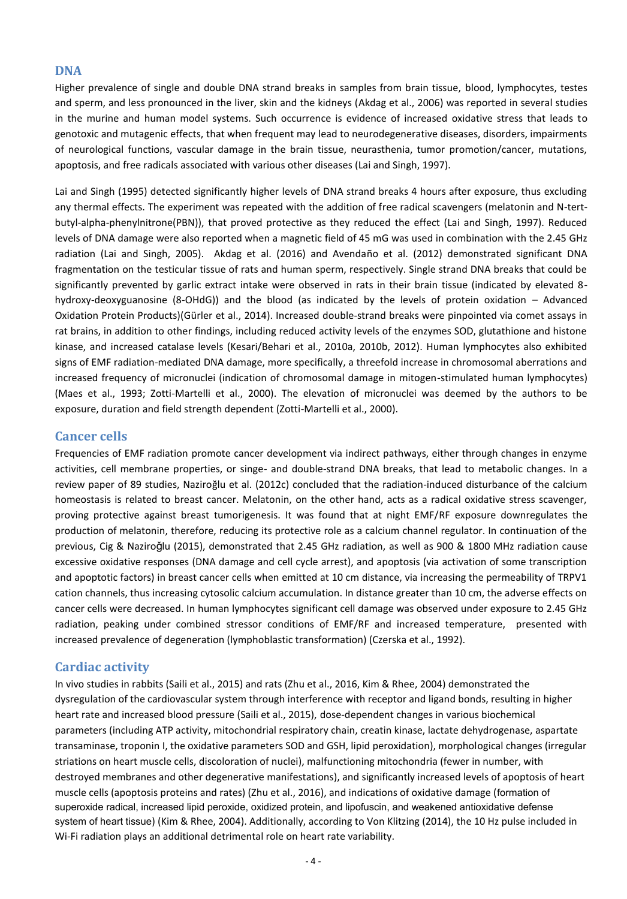### **DNA**

Higher prevalence of single and double DNA strand breaks in samples from brain tissue, blood, lymphocytes, testes and sperm, and less pronounced in the liver, skin and the kidneys (Akdag et al., 2006) was reported in several studies in the murine and human model systems. Such occurrence is evidence of increased oxidative stress that leads to genotoxic and mutagenic effects, that when frequent may lead to neurodegenerative diseases, disorders, impairments of neurological functions, vascular damage in the brain tissue, neurasthenia, tumor promotion/cancer, mutations, apoptosis, and free radicals associated with various other diseases (Lai and Singh, 1997).

Lai and Singh (1995) detected significantly higher levels of DNA strand breaks 4 hours after exposure, thus excluding any thermal effects. The experiment was repeated with the addition of free radical scavengers (melatonin and N-tertbutyl-alpha-phenylnitrone(PBN)), that proved protective as they reduced the effect (Lai and Singh, 1997). Reduced levels of DNA damage were also reported when a magnetic field of 45 mG was used in combination with the 2.45 GHz radiation (Lai and Singh, 2005). Akdag et al. (2016) and Avendaño et al. (2012) demonstrated significant DNA fragmentation on the testicular tissue of rats and human sperm, respectively. Single strand DNA breaks that could be significantly prevented by garlic extract intake were observed in rats in their brain tissue (indicated by elevated 8 hydroxy-deoxyguanosine (8-OHdG)) and the blood (as indicated by the levels of protein oxidation – Advanced Oxidation Protein Products)(Gürler et al., 2014). Increased double-strand breaks were pinpointed via comet assays in rat brains, in addition to other findings, including reduced activity levels of the enzymes SOD, glutathione and histone kinase, and increased catalase levels (Kesari/Behari et al., 2010a, 2010b, 2012). Human lymphocytes also exhibited signs of EMF radiation-mediated DNA damage, more specifically, a threefold increase in chromosomal aberrations and increased frequency of micronuclei (indication of chromosomal damage in mitogen-stimulated human lymphocytes) (Maes et al., 1993; Zotti-Martelli et al., 2000). The elevation of micronuclei was deemed by the authors to be exposure, duration and field strength dependent (Zotti-Martelli et al., 2000).

## **Cancer cells**

Frequencies of EMF radiation promote cancer development via indirect pathways, either through changes in enzyme activities, cell membrane properties, or singe- and double-strand DNA breaks, that lead to metabolic changes. In a review paper of 89 studies, Naziroğlu et al. (2012c) concluded that the radiation-induced disturbance of the calcium homeostasis is related to breast cancer. Melatonin, on the other hand, acts as a radical oxidative stress scavenger, proving protective against breast tumorigenesis. It was found that at night EMF/RF exposure downregulates the production of melatonin, therefore, reducing its protective role as a calcium channel regulator. In continuation of the previous, Cig & Naziroǧlu (2015), demonstrated that 2.45 GHz radiation, as well as 900 & 1800 MHz radiation cause excessive oxidative responses (DNA damage and cell cycle arrest), and apoptosis (via activation of some transcription and apoptotic factors) in breast cancer cells when emitted at 10 cm distance, via increasing the permeability of TRPV1 cation channels, thus increasing cytosolic calcium accumulation. In distance greater than 10 cm, the adverse effects on cancer cells were decreased. In human lymphocytes significant cell damage was observed under exposure to 2.45 GHz radiation, peaking under combined stressor conditions of EMF/RF and increased temperature, presented with increased prevalence of degeneration (lymphoblastic transformation) (Czerska et al., 1992).

# **Cardiac activity**

In vivo studies in rabbits (Saili et al., 2015) and rats (Zhu et al., 2016, Kim & Rhee, 2004) demonstrated the dysregulation of the cardiovascular system through interference with receptor and ligand bonds, resulting in higher heart rate and increased blood pressure (Saili et al., 2015), dose-dependent changes in various biochemical parameters (including ATP activity, mitochondrial respiratory chain, creatin kinase, lactate dehydrogenase, aspartate transaminase, troponin I, the oxidative parameters SOD and GSH, lipid peroxidation), morphological changes (irregular striations on heart muscle cells, discoloration of nuclei), malfunctioning mitochondria (fewer in number, with destroyed membranes and other degenerative manifestations), and significantly increased levels of apoptosis of heart muscle cells (apoptosis proteins and rates) (Zhu et al., 2016), and indications of oxidative damage (formation of superoxide radical, increased lipid peroxide, oxidized protein, and lipofuscin, and weakened antioxidative defense system of heart tissue) (Kim & Rhee, 2004). Additionally, according to Von Klitzing (2014), the 10 Hz pulse included in Wi-Fi radiation plays an additional detrimental role on heart rate variability.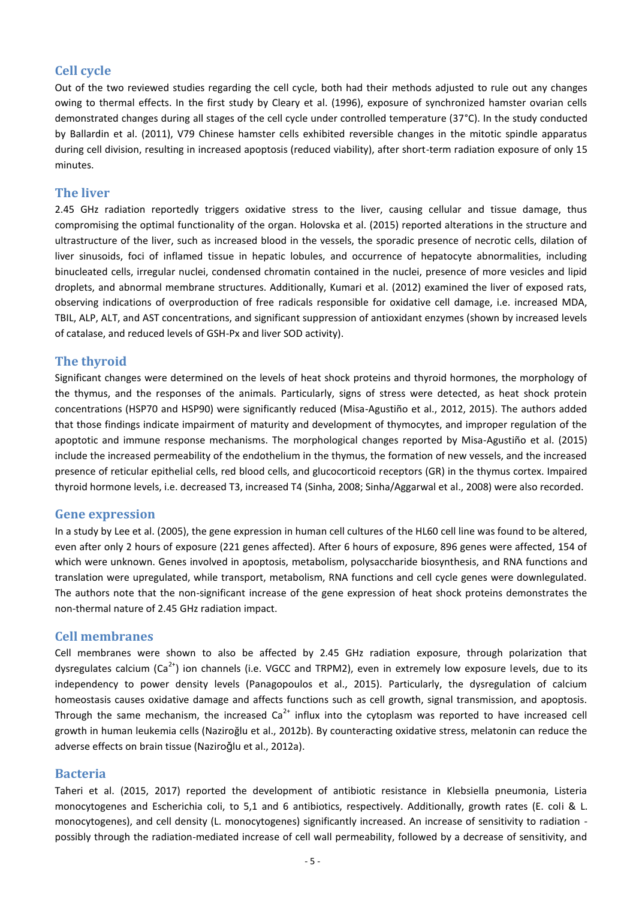## **Cell cycle**

Out of the two reviewed studies regarding the cell cycle, both had their methods adjusted to rule out any changes owing to thermal effects. In the first study by Cleary et al. (1996), exposure of synchronized hamster ovarian cells demonstrated changes during all stages of the cell cycle under controlled temperature (37°C). In the study conducted by Ballardin et al. (2011), V79 Chinese hamster cells exhibited reversible changes in the mitotic spindle apparatus during cell division, resulting in increased apoptosis (reduced viability), after short-term radiation exposure of only 15 minutes.

#### **The liver**

2.45 GHz radiation reportedly triggers oxidative stress to the liver, causing cellular and tissue damage, thus compromising the optimal functionality of the organ. Holovska et al. (2015) reported alterations in the structure and ultrastructure of the liver, such as increased blood in the vessels, the sporadic presence of necrotic cells, dilation of liver sinusoids, foci of inflamed tissue in hepatic lobules, and occurrence of hepatocyte abnormalities, including binucleated cells, irregular nuclei, condensed chromatin contained in the nuclei, presence of more vesicles and lipid droplets, and abnormal membrane structures. Additionally, Kumari et al. (2012) examined the liver of exposed rats, observing indications of overproduction of free radicals responsible for oxidative cell damage, i.e. increased MDA, TBIL, ALP, ALT, and AST concentrations, and significant suppression of antioxidant enzymes (shown by increased levels of catalase, and reduced levels of GSH-Px and liver SOD activity).

#### **The thyroid**

Significant changes were determined on the levels of heat shock proteins and thyroid hormones, the morphology of the thymus, and the responses of the animals. Particularly, signs of stress were detected, as heat shock protein concentrations (HSP70 and HSP90) were significantly reduced (Misa-Agustiño et al., 2012, 2015). The authors added that those findings indicate impairment of maturity and development of thymocytes, and improper regulation of the apoptotic and immune response mechanisms. The morphological changes reported by Misa-Agustiño et al. (2015) include the increased permeability of the endothelium in the thymus, the formation of new vessels, and the increased presence of reticular epithelial cells, red blood cells, and glucocorticoid receptors (GR) in the thymus cortex. Impaired thyroid hormone levels, i.e. decreased T3, increased T4 (Sinha, 2008; Sinha/Aggarwal et al., 2008) were also recorded.

#### **Gene expression**

In a study by Lee et al. (2005), the gene expression in human cell cultures of the HL60 cell line was found to be altered, even after only 2 hours of exposure (221 genes affected). After 6 hours of exposure, 896 genes were affected, 154 of which were unknown. Genes involved in apoptosis, metabolism, polysaccharide biosynthesis, and RNA functions and translation were upregulated, while transport, metabolism, RNA functions and cell cycle genes were downlegulated. The authors note that the non-significant increase of the gene expression of heat shock proteins demonstrates the non-thermal nature of 2.45 GHz radiation impact.

#### **Cell membranes**

Cell membranes were shown to also be affected by 2.45 GHz radiation exposure, through polarization that dysregulates calcium ( $Ca^{2+}$ ) ion channels (i.e. VGCC and TRPM2), even in extremely low exposure levels, due to its independency to power density levels (Panagopoulos et al., 2015). Particularly, the dysregulation of calcium homeostasis causes oxidative damage and affects functions such as cell growth, signal transmission, and apoptosis. Through the same mechanism, the increased  $Ca<sup>2+</sup>$  influx into the cytoplasm was reported to have increased cell growth in human leukemia cells (Naziroğlu et al., 2012b). By counteracting oxidative stress, melatonin can reduce the adverse effects on brain tissue (Naziroǧlu et al., 2012a).

#### **Bacteria**

Taheri et al. (2015, 2017) reported the development of antibiotic resistance in Klebsiella pneumonia, Listeria monocytogenes and Escherichia coli, to 5,1 and 6 antibiotics, respectively. Additionally, growth rates (E. coli & L. monocytogenes), and cell density (L. monocytogenes) significantly increased. An increase of sensitivity to radiation possibly through the radiation-mediated increase of cell wall permeability, followed by a decrease of sensitivity, and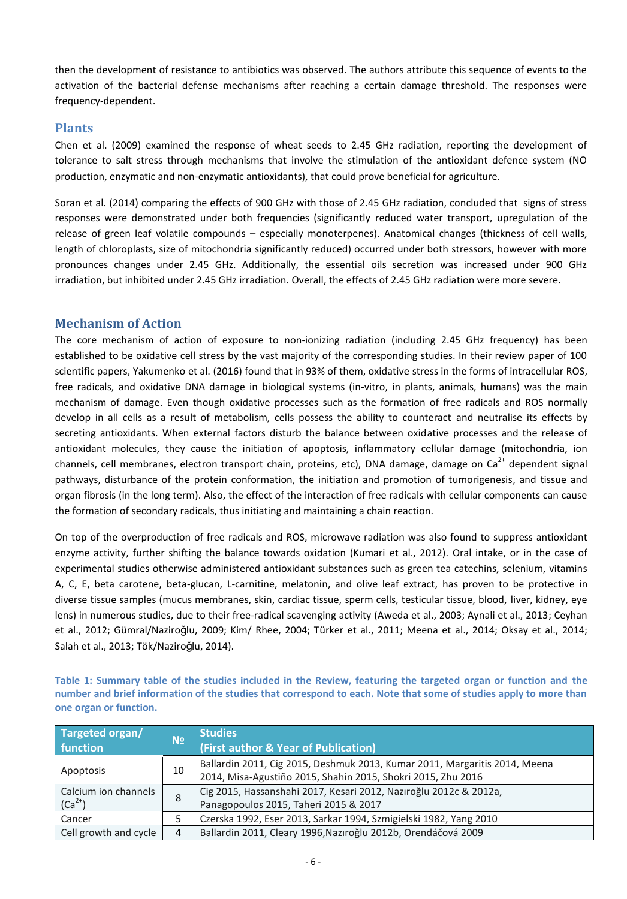then the development of resistance to antibiotics was observed. The authors attribute this sequence of events to the activation of the bacterial defense mechanisms after reaching a certain damage threshold. The responses were frequency-dependent.

#### **Plants**

Chen et al. (2009) examined the response of wheat seeds to 2.45 GHz radiation, reporting the development of tolerance to salt stress through mechanisms that involve the stimulation of the antioxidant defence system (NO production, enzymatic and non-enzymatic antioxidants), that could prove beneficial for agriculture.

Soran et al. (2014) comparing the effects of 900 GHz with those of 2.45 GHz radiation, concluded that signs of stress responses were demonstrated under both frequencies (significantly reduced water transport, upregulation of the release of green leaf volatile compounds – especially monoterpenes). Anatomical changes (thickness of cell walls, length of chloroplasts, size of mitochondria significantly reduced) occurred under both stressors, however with more pronounces changes under 2.45 GHz. Additionally, the essential oils secretion was increased under 900 GHz irradiation, but inhibited under 2.45 GHz irradiation. Overall, the effects of 2.45 GHz radiation were more severe.

#### **Mechanism of Action**

The core mechanism of action of exposure to non-ionizing radiation (including 2.45 GHz frequency) has been established to be oxidative cell stress by the vast majority of the corresponding studies. In their review paper of 100 scientific papers, Yakumenko et al. (2016) found that in 93% of them, oxidative stress in the forms of intracellular ROS, free radicals, and oxidative DNA damage in biological systems (in-vitro, in plants, animals, humans) was the main mechanism of damage. Even though oxidative processes such as the formation of free radicals and ROS normally develop in all cells as a result of metabolism, cells possess the ability to counteract and neutralise its effects by secreting antioxidants. When external factors disturb the balance between oxidative processes and the release of antioxidant molecules, they cause the initiation of apoptosis, inflammatory cellular damage (mitochondria, ion channels, cell membranes, electron transport chain, proteins, etc), DNA damage, damage on Ca<sup>2+</sup> dependent signal pathways, disturbance of the protein conformation, the initiation and promotion of tumorigenesis, and tissue and organ fibrosis (in the long term). Also, the effect of the interaction of free radicals with cellular components can cause the formation of secondary radicals, thus initiating and maintaining a chain reaction.

On top of the overproduction of free radicals and ROS, microwave radiation was also found to suppress antioxidant enzyme activity, further shifting the balance towards oxidation (Kumari et al., 2012). Oral intake, or in the case of experimental studies otherwise administered antioxidant substances such as green tea catechins, selenium, vitamins A, C, E, beta carotene, beta-glucan, L-carnitine, melatonin, and olive leaf extract, has proven to be protective in diverse tissue samples (mucus membranes, skin, cardiac tissue, sperm cells, testicular tissue, blood, liver, kidney, eye lens) in numerous studies, due to their free-radical scavenging activity (Aweda et al., 2003; Aynali et al., 2013; Ceyhan et al., 2012; Gümral/Naziroǧlu, 2009; Kim/ Rhee, 2004; Türker et al., 2011; Meena et al., 2014; Oksay et al., 2014; Salah et al., 2013; Tök/Naziroǧlu, 2014).

**Table 1: Summary table of the studies included in the Review, featuring the targeted organ or function and the number and brief information of the studies that correspond to each. Note that some of studies apply to more than one organ or function.** 

| Targeted organ/                     | N <sub>2</sub> | <b>Studies</b>                                                             |
|-------------------------------------|----------------|----------------------------------------------------------------------------|
| function                            |                | (First author & Year of Publication)                                       |
| Apoptosis                           | 10             | Ballardin 2011, Cig 2015, Deshmuk 2013, Kumar 2011, Margaritis 2014, Meena |
|                                     |                | 2014, Misa-Agustiño 2015, Shahin 2015, Shokri 2015, Zhu 2016               |
| Calcium ion channels<br>$(Ca^{2+})$ | 8              | Cig 2015, Hassanshahi 2017, Kesari 2012, Nazıroğlu 2012c & 2012a,          |
|                                     |                | Panagopoulos 2015, Taheri 2015 & 2017                                      |
| Cancer                              |                | Czerska 1992, Eser 2013, Sarkar 1994, Szmigielski 1982, Yang 2010          |
| Cell growth and cycle               |                | Ballardin 2011, Cleary 1996, Nazıroğlu 2012b, Orendáčová 2009              |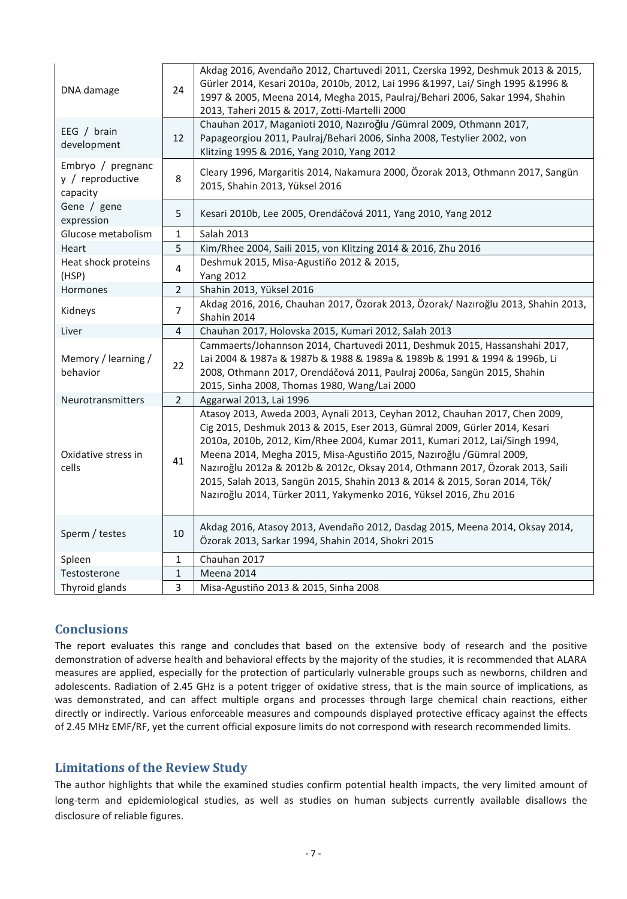| DNA damage                                        | 24             | Akdag 2016, Avendaño 2012, Chartuvedi 2011, Czerska 1992, Deshmuk 2013 & 2015,<br>Gürler 2014, Kesari 2010a, 2010b, 2012, Lai 1996 &1997, Lai/ Singh 1995 &1996 &<br>1997 & 2005, Meena 2014, Megha 2015, Paulraj/Behari 2006, Sakar 1994, Shahin<br>2013, Taheri 2015 & 2017, Zotti-Martelli 2000                                                                                                                                                                                                                                                   |
|---------------------------------------------------|----------------|------------------------------------------------------------------------------------------------------------------------------------------------------------------------------------------------------------------------------------------------------------------------------------------------------------------------------------------------------------------------------------------------------------------------------------------------------------------------------------------------------------------------------------------------------|
| EEG / brain<br>development                        | 12             | Chauhan 2017, Maganioti 2010, Nazıroğlu / Gümral 2009, Othmann 2017,<br>Papageorgiou 2011, Paulraj/Behari 2006, Sinha 2008, Testylier 2002, von<br>Klitzing 1995 & 2016, Yang 2010, Yang 2012                                                                                                                                                                                                                                                                                                                                                        |
| Embryo / pregnanc<br>y / reproductive<br>capacity | 8              | Cleary 1996, Margaritis 2014, Nakamura 2000, Özorak 2013, Othmann 2017, Sangün<br>2015, Shahin 2013, Yüksel 2016                                                                                                                                                                                                                                                                                                                                                                                                                                     |
| Gene / gene<br>expression                         | 5              | Kesari 2010b, Lee 2005, Orendáčová 2011, Yang 2010, Yang 2012                                                                                                                                                                                                                                                                                                                                                                                                                                                                                        |
| Glucose metabolism                                | 1              | Salah 2013                                                                                                                                                                                                                                                                                                                                                                                                                                                                                                                                           |
| Heart                                             | 5              | Kim/Rhee 2004, Saili 2015, von Klitzing 2014 & 2016, Zhu 2016                                                                                                                                                                                                                                                                                                                                                                                                                                                                                        |
| Heat shock proteins<br>(HSP)                      | 4              | Deshmuk 2015, Misa-Agustiño 2012 & 2015,<br><b>Yang 2012</b>                                                                                                                                                                                                                                                                                                                                                                                                                                                                                         |
| Hormones                                          | $\overline{2}$ | Shahin 2013, Yüksel 2016                                                                                                                                                                                                                                                                                                                                                                                                                                                                                                                             |
| Kidneys                                           | $\overline{7}$ | Akdag 2016, 2016, Chauhan 2017, Özorak 2013, Özorak/ Nazıroğlu 2013, Shahin 2013,<br>Shahin 2014                                                                                                                                                                                                                                                                                                                                                                                                                                                     |
| Liver                                             | 4              | Chauhan 2017, Holovska 2015, Kumari 2012, Salah 2013                                                                                                                                                                                                                                                                                                                                                                                                                                                                                                 |
| Memory / learning /<br>behavior                   | 22             | Cammaerts/Johannson 2014, Chartuvedi 2011, Deshmuk 2015, Hassanshahi 2017,<br>Lai 2004 & 1987a & 1987b & 1988 & 1989a & 1989b & 1991 & 1994 & 1996b, Li<br>2008, Othmann 2017, Orendáčová 2011, Paulraj 2006a, Sangün 2015, Shahin<br>2015, Sinha 2008, Thomas 1980, Wang/Lai 2000                                                                                                                                                                                                                                                                   |
| Neurotransmitters                                 | $\overline{2}$ | Aggarwal 2013, Lai 1996                                                                                                                                                                                                                                                                                                                                                                                                                                                                                                                              |
| Oxidative stress in<br>cells                      | 41             | Atasoy 2013, Aweda 2003, Aynali 2013, Ceyhan 2012, Chauhan 2017, Chen 2009,<br>Cig 2015, Deshmuk 2013 & 2015, Eser 2013, Gümral 2009, Gürler 2014, Kesari<br>2010a, 2010b, 2012, Kim/Rhee 2004, Kumar 2011, Kumari 2012, Lai/Singh 1994,<br>Meena 2014, Megha 2015, Misa-Agustiño 2015, Nazıroğlu /Gümral 2009,<br>Nazıroğlu 2012a & 2012b & 2012c, Oksay 2014, Othmann 2017, Özorak 2013, Saili<br>2015, Salah 2013, Sangün 2015, Shahin 2013 & 2014 & 2015, Soran 2014, Tök/<br>Nazıroğlu 2014, Türker 2011, Yakymenko 2016, Yüksel 2016, Zhu 2016 |
| Sperm / testes                                    | 10             | Akdag 2016, Atasoy 2013, Avendaño 2012, Dasdag 2015, Meena 2014, Oksay 2014,<br>Özorak 2013, Sarkar 1994, Shahin 2014, Shokri 2015                                                                                                                                                                                                                                                                                                                                                                                                                   |
| Spleen                                            | 1              | Chauhan 2017                                                                                                                                                                                                                                                                                                                                                                                                                                                                                                                                         |
| Testosterone                                      | 1              | Meena 2014                                                                                                                                                                                                                                                                                                                                                                                                                                                                                                                                           |
| Thyroid glands                                    | 3              | Misa-Agustiño 2013 & 2015, Sinha 2008                                                                                                                                                                                                                                                                                                                                                                                                                                                                                                                |

# **Conclusions**

The report evaluates this range and concludes that based on the extensive body of research and the positive demonstration of adverse health and behavioral effects by the majority of the studies, it is recommended that ALARA measures are applied, especially for the protection of particularly vulnerable groups such as newborns, children and adolescents. Radiation of 2.45 GHz is a potent trigger of oxidative stress, that is the main source of implications, as was demonstrated, and can affect multiple organs and processes through large chemical chain reactions, either directly or indirectly. Various enforceable measures and compounds displayed protective efficacy against the effects of 2.45 MHz EMF/RF, yet the current official exposure limits do not correspond with research recommended limits.

# **Limitations of the Review Study**

The author highlights that while the examined studies confirm potential health impacts, the very limited amount of long-term and epidemiological studies, as well as studies on human subjects currently available disallows the disclosure of reliable figures.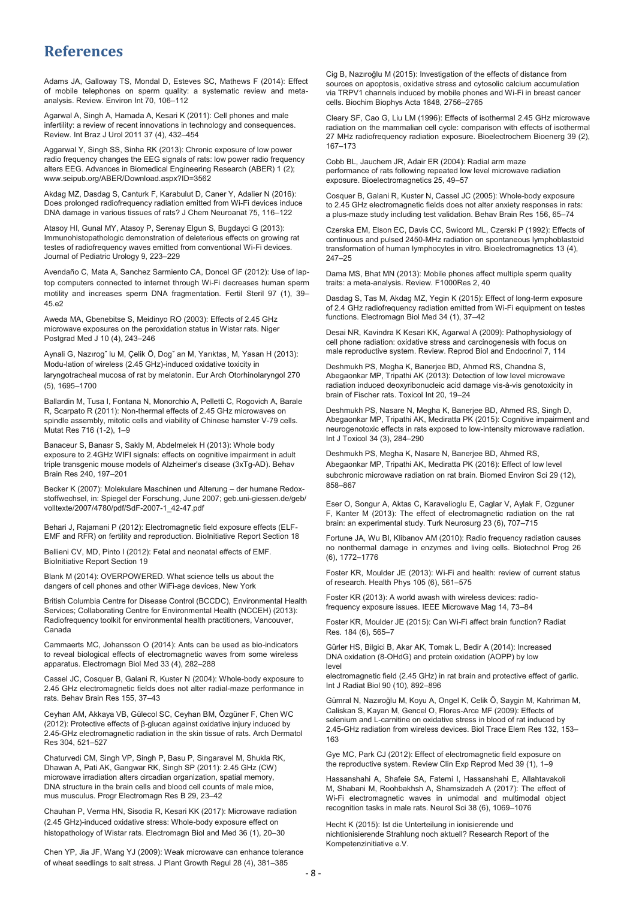# **References**

Adams JA, Galloway TS, Mondal D, Esteves SC, Mathews F (2014): Effect of mobile telephones on sperm quality: a systematic review and metaanalysis. Review. Environ Int 70, 106–112

Agarwal A, Singh A, Hamada A, Kesari K (2011): Cell phones and male infertility: a review of recent innovations in technology and consequences. Review. Int Braz J Urol 2011 37 (4), 432–454

Aggarwal Y, Singh SS, Sinha RK (2013): Chronic exposure of low power radio frequency changes the EEG signals of rats: low power radio frequency alters EEG. Advances in Biomedical Engineering Research (ABER) 1 (2); www.seipub.org/ABER/Download.aspx?ID=3562

Akdag MZ, Dasdag S, Canturk F, Karabulut D, Caner Y, Adalier N (2016): Does prolonged radiofrequency radiation emitted from Wi-Fi devices induce DNA damage in various tissues of rats? J Chem Neuroanat 75, 116–122

Atasoy HI, Gunal MY, Atasoy P, Serenay Elgun S, Bugdayci G (2013): Immunohistopathologic demonstration of deleterious effects on growing rat testes of radiofrequency waves emitted from conventional Wi-Fi devices. Journal of Pediatric Urology 9, 223–229

Avendaño C, Mata A, Sanchez Sarmiento CA, Doncel GF (2012): Use of laptop computers connected to internet through Wi-Fi decreases human sperm motility and increases sperm DNA fragmentation. Fertil Steril 97 (1), 39– 45.e2

Aweda MA, Gbenebitse S, Meidinyo RO (2003): Effects of 2.45 GHz microwave exposures on the peroxidation status in Wistar rats. Niger Postgrad Med J 10 (4), 243–246

Aynali G, Nazırogˇ lu M, Çelik Ö, Dogˇ an M, Yarıktas¸ M, Yasan H (2013): Modu-lation of wireless (2.45 GHz)-induced oxidative toxicity in laryngotracheal mucosa of rat by melatonin. Eur Arch Otorhinolaryngol 270 (5), 1695–1700

Ballardin M, Tusa I, Fontana N, Monorchio A, Pelletti C, Rogovich A, Barale R, Scarpato R (2011): Non-thermal effects of 2.45 GHz microwaves on spindle assembly, mitotic cells and viability of Chinese hamster V-79 cells. Mutat Res 716 (1-2), 1–9

Banaceur S, Banasr S, Sakly M, Abdelmelek H (2013): Whole body exposure to 2.4GHz WIFI signals: effects on cognitive impairment in adult triple transgenic mouse models of Alzheimer's disease (3xTg-AD). Behav Brain Res 240, 197–201

Becker K (2007): Molekulare Maschinen und Alterung – der humane Redoxstoffwechsel, in: Spiegel der Forschung, June 2007; geb.uni-giessen.de/geb/ volltexte/2007/4780/pdf/SdF-2007-1\_42-47.pdf

Behari J, Rajamani P (2012): Electromagnetic field exposure effects (ELF-EMF and RFR) on fertility and reproduction. BioInitiative Report Section 18

Bellieni CV, MD, Pinto I (2012): Fetal and neonatal effects of EMF. BioInitiative Report Section 19

Blank M (2014): OVERPOWERED. What science tells us about the dangers of cell phones and other WiFi-age devices, New York

British Columbia Centre for Disease Control (BCCDC), Environmental Health Services; Collaborating Centre for Environmental Health (NCCEH) (2013): Radiofrequency toolkit for environmental health practitioners, Vancouver, Canada

Cammaerts MC, Johansson O (2014): Ants can be used as bio-indicators to reveal biological effects of electromagnetic waves from some wireless apparatus. Electromagn Biol Med 33 (4), 282–288

Cassel JC, Cosquer B, Galani R, Kuster N (2004): Whole-body exposure to 2.45 GHz electromagnetic fields does not alter radial-maze performance in rats. Behav Brain Res 155, 37–43

Ceyhan AM, Akkaya VB, Gülecol SC, Ceyhan BM, Özgüner F, Chen WC (2012): Protective effects of β-glucan against oxidative injury induced by 2.45-GHz electromagnetic radiation in the skin tissue of rats. Arch Dermatol Res 304, 521–527

Chaturvedi CM, Singh VP, Singh P, Basu P, Singaravel M, Shukla RK, Dhawan A, Pati AK, Gangwar RK, Singh SP (2011): 2.45 GHz (CW) microwave irradiation alters circadian organization, spatial memory, DNA structure in the brain cells and blood cell counts of male mice, mus musculus. Progr Electromagn Res B 29, 23–42

Chauhan P, Verma HN, Sisodia R, Kesari KK (2017): Microwave radiation (2.45 GHz)-induced oxidative stress: Whole-body exposure effect on histopathology of Wistar rats. Electromagn Biol and Med 36 (1), 20–30

Chen YP, Jia JF, Wang YJ (2009): Weak microwave can enhance tolerance of wheat seedlings to salt stress. J Plant Growth Regul 28 (4), 381–385

Cig B, Nazıroğlu M (2015): Investigation of the effects of distance from sources on apoptosis, oxidative stress and cytosolic calcium accumulation via TRPV1 channels induced by mobile phones and Wi-Fi in breast cancer cells. Biochim Biophys Acta 1848, 2756–2765

Cleary SF, Cao G, Liu LM (1996): Effects of isothermal 2.45 GHz microwave radiation on the mammalian cell cycle: comparison with effects of isothermal 27 MHz radiofrequency radiation exposure. Bioelectrochem Bioenerg 39 (2), 167–173

Cobb BL, Jauchem JR, Adair ER (2004): Radial arm maze performance of rats following repeated low level microwave radiation exposure. Bioelectromagnetics 25, 49–57

Cosquer B, Galani R, Kuster N, Cassel JC (2005): Whole-body exposure to 2.45 GHz electromagnetic fields does not alter anxiety responses in rats: a plus-maze study including test validation. Behav Brain Res 156, 65–74

Czerska EM, Elson EC, Davis CC, Swicord ML, Czerski P (1992): Effects of continuous and pulsed 2450-MHz radiation on spontaneous lymphoblastoid transformation of human lymphocytes in vitro. Bioelectromagnetics 13 (4), 247–25

Dama MS, Bhat MN (2013): Mobile phones affect multiple sperm quality traits: a meta-analysis. Review. F1000Res 2, 40

Dasdag S, Tas M, Akdag MZ, Yegin K (2015): Effect of long-term exposure of 2.4 GHz radiofrequency radiation emitted from Wi-Fi equipment on testes functions. Electromagn Biol Med 34 (1), 37–42

Desai NR, Kavindra K Kesari KK, Agarwal A (2009): Pathophysiology of cell phone radiation: oxidative stress and carcinogenesis with focus on male reproductive system. Review. Reprod Biol and Endocrinol 7, 114

Deshmukh PS, Megha K, Banerjee BD, Ahmed RS, Chandna S, Abegaonkar MP, Tripathi AK (2013): Detection of low level microwave radiation induced deoxyribonucleic acid damage vis-à-vis genotoxicity in brain of Fischer rats. Toxicol Int 20, 19–24

Deshmukh PS, Nasare N, Megha K, Banerjee BD, Ahmed RS, Singh D, Abegaonkar MP, Tripathi AK, Mediratta PK (2015): Cognitive impairment and neurogenotoxic effects in rats exposed to low-intensity microwave radiation. Int J Toxicol 34 (3), 284–290

Deshmukh PS, Megha K, Nasare N, Banerjee BD, Ahmed RS, Abegaonkar MP, Tripathi AK, Mediratta PK (2016): Effect of low level subchronic microwave radiation on rat brain. Biomed Environ Sci 29 (12), 858–867

Eser O, Songur A, Aktas C, Karavelioglu E, Caglar V, Aylak F, Ozguner F, Kanter M (2013): The effect of electromagnetic radiation on the rat brain: an experimental study. Turk Neurosurg 23 (6), 707–715

Fortune JA, Wu BI, Klibanov AM (2010): Radio frequency radiation causes no nonthermal damage in enzymes and living cells. Biotechnol Prog 26 (6), 1772–1776

Foster KR, Moulder JE (2013): Wi-Fi and health: review of current status of research. Health Phys 105 (6), 561–575

Foster KR (2013): A world awash with wireless devices: radiofrequency exposure issues. IEEE Microwave Mag 14, 73–84

Foster KR, Moulder JE (2015): Can Wi-Fi affect brain function? Radiat Res. 184 (6), 565–7

Gürler HS, Bilgici B, Akar AK, Tomak L, Bedir A (2014): Increased DNA oxidation (8-OHdG) and protein oxidation (AOPP) by low level

electromagnetic field (2.45 GHz) in rat brain and protective effect of garlic. Int J Radiat Biol 90 (10), 892–896

Gümral N, Nazıroğlu M, Koyu A, Ongel K, Celik Ö, Saygin M, Kahriman M, Caliskan S, Kayan M, Gencel O, Flores-Arce MF (2009): Effects of selenium and L-carnitine on oxidative stress in blood of rat induced by 2.45-GHz radiation from wireless devices. Biol Trace Elem Res 132, 153– 163

Gye MC, Park CJ (2012): Effect of electromagnetic field exposure on the reproductive system. Review Clin Exp Reprod Med 39 (1), 1–9

Hassanshahi A, Shafeie SA, Fatemi I, Hassanshahi E, Allahtavakoli M, Shabani M, Roohbakhsh A, Shamsizadeh A (2017): The effect of Wi-Fi electromagnetic waves in unimodal and multimodal object recognition tasks in male rats. Neurol Sci 38 (6), 1069–1076

Hecht K (2015): Ist die Unterteilung in ionisierende und nichtionisierende Strahlung noch aktuell? Research Report of the Kompetenzinitiative e.V.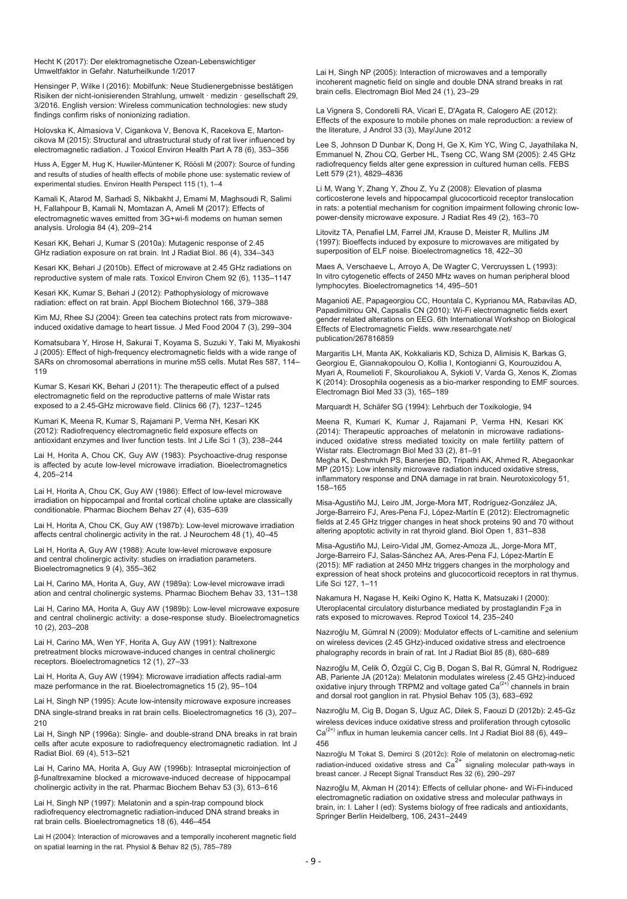Hecht K (2017): Der elektromagnetische Ozean-Lebenswichtiger Umweltfaktor in Gefahr. Naturheilkunde 1/2017

Hensinger P, Wilke I (2016): Mobilfunk: Neue Studienergebnisse bestätigen Risiken der nicht-ionisierenden Strahlung, umwelt · medizin · gesellschaft 29, 3/2016. English version: Wireless communication technologies: new study findings confirm risks of nonionizing radiation.

Holovska K, Almasiova V, Cigankova V, Benova K, Racekova E, Martoncikova M (2015): Structural and ultrastructural study of rat liver influenced by electromagnetic radiation. J Toxicol Environ Health Part A 78 (6), 353–356

Huss A, Egger M, Hug K, Huwiler-Müntener K, Röösli M (2007): Source of funding and results of studies of health effects of mobile phone use: systematic review of experimental studies. Environ Health Perspect 115 (1), 1–4

Kamali K, Atarod M, Sarhadi S, Nikbakht J, Emami M, Maghsoudi R, Salimi H, Fallahpour B, Kamali N, Momtazan A, Ameli M (2017): Effects of electromagnetic waves emitted from 3G+wi-fi modems on human semen analysis. Urologia 84 (4), 209–214

Kesari KK, Behari J, Kumar S (2010a): Mutagenic response of 2.45 GHz radiation exposure on rat brain. Int J Radiat Biol. 86 (4), 334–343

Kesari KK, Behari J (2010b). Effect of microwave at 2.45 GHz radiations on reproductive system of male rats. Toxicol Environ Chem 92 (6), 1135–1147

Kesari KK, Kumar S, Behari J (2012): Pathophysiology of microwave radiation: effect on rat brain. Appl Biochem Biotechnol 166, 379–388

Kim MJ, Rhee SJ (2004): Green tea catechins protect rats from microwaveinduced oxidative damage to heart tissue. J Med Food 2004 7 (3), 299–304

Komatsubara Y, Hirose H, Sakurai T, Koyama S, Suzuki Y, Taki M, Miyakoshi J (2005): Effect of high-frequency electromagnetic fields with a wide range of SARs on chromosomal aberrations in murine m5S cells. Mutat Res 587, 114– 119

Kumar S, Kesari KK, Behari J (2011): The therapeutic effect of a pulsed electromagnetic field on the reproductive patterns of male Wistar rats exposed to a 2.45-GHz microwave field. Clinics 66 (7), 1237–1245

Kumari K, Meena R, Kumar S, Rajamani P, Verma NH, Kesari KK (2012): Radiofrequency electromagnetic field exposure effects on antioxidant enzymes and liver function tests. Int J Life Sci 1 (3), 238–244

Lai H, Horita A, Chou CK, Guy AW (1983): Psychoactive-drug response is affected by acute low-level microwave irradiation. Bioelectromagnetics 4, 205–214

Lai H, Horita A, Chou CK, Guy AW (1986): Effect of low-level microwave irradiation on hippocampal and frontal cortical choline uptake are classically conditionable. Pharmac Biochem Behav 27 (4), 635–639

Lai H, Horita A, Chou CK, Guy AW (1987b): Low-level microwave irradiation affects central cholinergic activity in the rat. J Neurochem 48 (1), 40–45

Lai H, Horita A, Guy AW (1988): Acute low-level microwave exposure and central cholinergic activity: studies on irradiation parameters. Bioelectromagnetics 9 (4), 355–362

Lai H, Carino MA, Horita A, Guy, AW (1989a): Low-level microwave irradi ation and central cholinergic systems. Pharmac Biochem Behav 33, 131–138

Lai H, Carino MA, Horita A, Guy AW (1989b): Low-level microwave exposure and central cholinergic activity: a dose-response study. Bioelectromagnetics 10 (2), 203–208

Lai H, Carino MA, Wen YF, Horita A, Guy AW (1991): Naltrexone pretreatment blocks microwave-induced changes in central cholinergic receptors. Bioelectromagnetics 12 (1), 27–33

Lai H, Horita A, Guy AW (1994): Microwave irradiation affects radial-arm maze performance in the rat. Bioelectromagnetics 15 (2), 95–104

Lai H, Singh NP (1995): Acute low-intensity microwave exposure increases DNA single-strand breaks in rat brain cells. Bioelectromagnetics 16 (3), 207– 210

Lai H, Singh NP (1996a): Single- and double-strand DNA breaks in rat brain cells after acute exposure to radiofrequency electromagnetic radiation. Int J Radiat Biol. 69 (4), 513–521

Lai H, Carino MA, Horita A, Guy AW (1996b): Intraseptal microinjection of β-funaltrexamine blocked a microwave-induced decrease of hippocampal cholinergic activity in the rat. Pharmac Biochem Behav 53 (3), 613–616

Lai H, Singh NP (1997): Melatonin and a spin-trap compound block radiofrequency electromagnetic radiation-induced DNA strand breaks in rat brain cells. Bioelectromagnetics 18 (6), 446–454

Lai H (2004): Interaction of microwaves and a temporally incoherent magnetic field on spatial learning in the rat. Physiol & Behav 82 (5), 785–789

Lai H, Singh NP (2005): Interaction of microwaves and a temporally incoherent magnetic field on single and double DNA strand breaks in rat brain cells. Electromagn Biol Med 24 (1), 23–29

La Vignera S, Condorelli RA, Vicari E, D'Agata R, Calogero AE (2012): Effects of the exposure to mobile phones on male reproduction: a review of the literature, J Androl 33 (3), May/June 2012

Lee S, Johnson D Dunbar K, Dong H, Ge X, Kim YC, Wing C, Jayathilaka N, Emmanuel N, Zhou CQ, Gerber HL, Tseng CC, Wang SM (2005): 2.45 GHz radiofrequency fields alter gene expression in cultured human cells. FEBS Lett 579 (21), 4829–4836

Li M, Wang Y, Zhang Y, Zhou Z, Yu Z (2008): Elevation of plasma corticosterone levels and hippocampal glucocorticoid receptor translocation in rats: a potential mechanism for cognition impairment following chronic lowpower-density microwave exposure. J Radiat Res 49 (2), 163–70

Litovitz TA, Penafiel LM, Farrel JM, Krause D, Meister R, Mullins JM (1997): Bioeffects induced by exposure to microwaves are mitigated by superposition of ELF noise. Bioelectromagnetics 18, 422-30

Maes A, Verschaeve L, Arroyo A, De Wagter C, Vercruyssen L (1993): In vitro cytogenetic effects of 2450 MHz waves on human peripheral blood lymphocytes. Bioelectromagnetics 14, 495–501

Maganioti AE, Papageorgiou CC, Hountala C, Kyprianou MA, Rabavilas AD, Papadimitriou GN, Capsalis CN (2010): Wi-Fi electromagnetic fields exert gender related alterations on EEG. 6th International Workshop on Biological Effects of Electromagnetic Fields. www.researchgate.net/ publication/267816859

Margaritis LH, Manta AK, Kokkaliaris KD, Schiza D, Alimisis K, Barkas G, Georgiou E, Giannakopoulou O, Kollia I, Kontogianni G, Kourouzidou A, Myari A, Roumelioti F, Skouroliakou A, Sykioti V, Varda G, Xenos K, Ziomas K (2014): Drosophila oogenesis as a bio-marker responding to EMF sources. Electromagn Biol Med 33 (3), 165–189

Marquardt H, Schäfer SG (1994): Lehrbuch der Toxikologie, 94

Meena R, Kumari K, Kumar J, Rajamani P, Verma HN, Kesari KK (2014): Therapeutic approaches of melatonin in microwave radiationsinduced oxidative stress mediated toxicity on male fertility pattern of Wistar rats. Electromagn Biol Med 33 (2), 81–91

Megha K, Deshmukh PS, Banerjee BD, Tripathi AK, Ahmed R, Abegaonkar MP (2015): Low intensity microwave radiation induced oxidative stress, inflammatory response and DNA damage in rat brain. Neurotoxicology 51, 158–165

Misa-Agustiño MJ, Leiro JM, Jorge-Mora MT, Rodríguez-González JA, Jorge-Barreiro FJ, Ares-Pena FJ, López-Martín E (2012): Electromagnetic fields at 2.45 GHz trigger changes in heat shock proteins 90 and 70 without altering apoptotic activity in rat thyroid gland. Biol Open 1, 831–838

Misa-Agustiño MJ, Leiro-Vidal JM, Gomez-Amoza JL, Jorge-Mora MT, Jorge-Barreiro FJ, Salas-Sánchez AA, Ares-Pena FJ, López-Martín E (2015): MF radiation at 2450 MHz triggers changes in the morphology and expression of heat shock proteins and glucocorticoid receptors in rat thymus. Life Sci 127, 1–11

Nakamura H, Nagase H, Keiki Ogino K, Hatta K, Matsuzaki I (2000): Uteroplacental circulatory disturbance mediated by prostaglandin F2a in rats exposed to microwaves. Reprod Toxicol 14, 235–240

Nazıroğlu M, Gümral N (2009): Modulator effects of L-carnitine and selenium on wireless devices (2.45 GHz)-induced oxidative stress and electroence phalography records in brain of rat. Int J Radiat Biol 85 (8), 680–689

Nazıroğlu M, Celik Ö, Özgül C, Cig B, Dogan S, Bal R, Gümral N, Rodriguez AB, Pariente JA (2012a): Melatonin modulates wireless (2.45 GHz)-induced<br>oxidative injury through TRPM2 and voltage gated Ca<sup>(2+)</sup> channels in brain and dorsal root ganglion in rat. Physiol Behav 105 (3), 683–692

Nazıroğlu M, Cig B, Dogan S, Uguz AC, Dilek S, Faouzi D (2012b): 2.45-Gz wireless devices induce oxidative stress and proliferation through cytosolic  $Ca^{(2+)}$  influx in human leukemia cancer cells. Int J Radiat Biol 88 (6), 449– 456

Nazıroğlu M Tokat S, Demirci S (2012c): Role of melatonin on electromag-netic radiation-induced oxidative stress and  $Ca<sup>2+</sup>$  signaling molecular path-ways in breast cancer. J Recept Signal Transduct Res 32 (6), 290–297

Nazıroğlu M, Akman H (2014): Effects of cellular phone- and Wi-Fi-induced electromagnetic radiation on oxidative stress and molecular pathways in brain, in: I. Laher I (ed): Systems biology of free radicals and antioxidants, Springer Berlin Heidelberg, 106, 2431–2449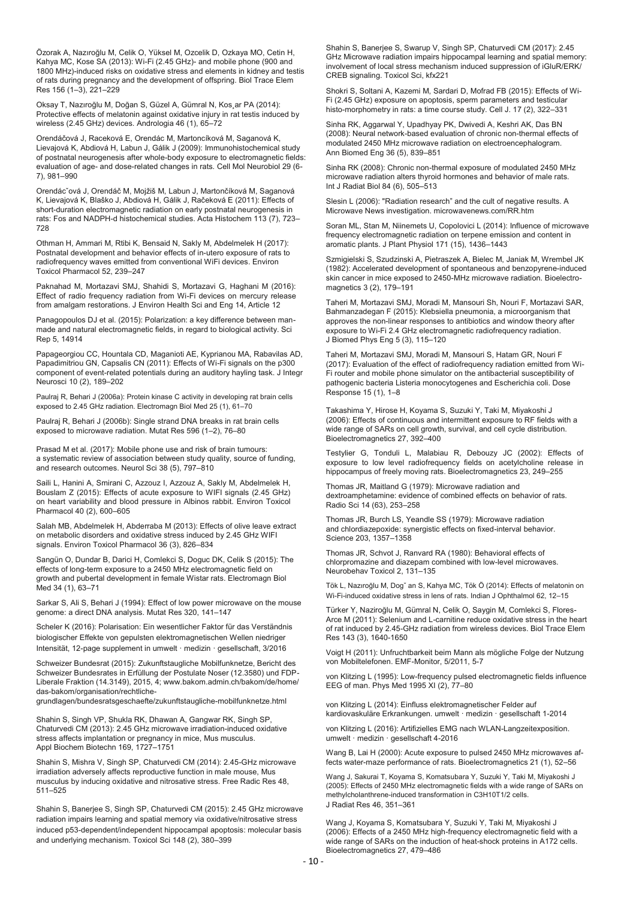Özorak A, Nazıroğlu M, Celik O, Yüksel M, Ozcelik D, Ozkaya MO, Cetin H, Kahya MC, Kose SA (2013): Wi-Fi (2.45 GHz)- and mobile phone (900 and 1800 MHz)-induced risks on oxidative stress and elements in kidney and testis of rats during pregnancy and the development of offspring. Biol Trace Elem Res 156 (1–3), 221–229

Oksay T, Nazıroğlu M, Doğan S, Güzel A, Gümral N, Kos¸ar PA (2014): Protective effects of melatonin against oxidative injury in rat testis induced by wireless (2.45 GHz) devices. Andrologia 46 (1), 65–72

Orendáčová J, Raceková E, Orendác M, Martoncíková M, Saganová K, Lievajová K, Abdiová H, Labun J, Gálik J (2009): Immunohistochemical study of postnatal neurogenesis after whole-body exposure to electromagnetic fields: evaluation of age- and dose-related changes in rats. Cell Mol Neurobiol 29 (6- 7), 981–990

Orendácˇová J, Orendáč M, Mojžiš M, Labun J, Martončíková M, Saganová K, Lievajová K, Blaško J, Abdiová H, Gálik J, Račeková E (2011): Effects of short-duration electromagnetic radiation on early postnatal neurogenesis in rats: Fos and NADPH-d histochemical studies. Acta Histochem 113 (7), 723– 728

Othman H, Ammari M, Rtibi K, Bensaid N, Sakly M, Abdelmelek H (2017): Postnatal development and behavior effects of in-utero exposure of rats to radiofrequency waves emitted from conventional WiFi devices. Environ Toxicol Pharmacol 52, 239–247

Paknahad M, Mortazavi SMJ, Shahidi S, Mortazavi G, Haghani M (2016): Effect of radio frequency radiation from Wi-Fi devices on mercury release from amalgam restorations. J Environ Health Sci and Eng 14, Article 12

Panagopoulos DJ et al. (2015): Polarization: a key difference between manmade and natural electromagnetic fields, in regard to biological activity. Sci Rep 5, 14914

Papageorgiou CC, Hountala CD, Maganioti AE, Kyprianou MA, Rabavilas AD, Papadimitriou GN, Capsalis CN (2011): Effects of Wi-Fi signals on the p300 component of event-related potentials during an auditory hayling task. J Integr Neurosci 10 (2), 189–202

Paulraj R, Behari J (2006a): Protein kinase C activity in developing rat brain cells exposed to 2.45 GHz radiation. Electromagn Biol Med 25 (1), 61–70

Paulraj R, Behari J (2006b): Single strand DNA breaks in rat brain cells exposed to microwave radiation. Mutat Res 596 (1–2), 76–80

Prasad M et al. (2017): Mobile phone use and risk of brain tumours: a systematic review of association between study quality, source of funding, and research outcomes. Neurol Sci 38 (5), 797–810

Saili L, Hanini A, Smirani C, Azzouz I, Azzouz A, Sakly M, Abdelmelek H, Bouslam Z (2015): Effects of acute exposure to WIFI signals (2.45 GHz) on heart variability and blood pressure in Albinos rabbit. Environ Toxicol Pharmacol 40 (2), 600–605

Salah MB, Abdelmelek H, Abderraba M (2013): Effects of olive leave extract on metabolic disorders and oxidative stress induced by 2.45 GHz WIFI signals. Environ Toxicol Pharmacol 36 (3), 826–834

Sangün O, Dundar B, Darici H, Comlekci S, Doguc DK, Celik S (2015): The effects of long-term exposure to a 2450 MHz electromagnetic field on growth and pubertal development in female Wistar rats. Electromagn Biol Med 34 (1), 63–71

Sarkar S, Ali S, Behari J (1994): Effect of low power microwave on the mouse genome: a direct DNA analysis. Mutat Res 320, 141–147

Scheler K (2016): Polarisation: Ein wesentlicher Faktor für das Verständnis biologischer Effekte von gepulsten elektromagnetischen Wellen niedriger Intensität, 12-page supplement in umwelt · medizin · gesellschaft, 3/2016

Schweizer Bundesrat (2015): Zukunftstaugliche Mobilfunknetze, Bericht des Schweizer Bundesrates in Erfüllung der Postulate Noser (12.3580) und FDP-Liberale Fraktion (14.3149), 2015, 4; www.bakom.admin.ch/bakom/de/home/ das-bakom/organisation/rechtliche-

grundlagen/bundesratsgeschaefte/zukunftstaugliche-mobilfunknetze.html

Shahin S, Singh VP, Shukla RK, Dhawan A, Gangwar RK, Singh SP, Chaturvedi CM (2013): 2.45 GHz microwave irradiation-induced oxidative stress affects implantation or pregnancy in mice, Mus musculus. Appl Biochem Biotechn 169, 1727–1751

Shahin S, Mishra V, Singh SP, Chaturvedi CM (2014): 2.45-GHz microwave irradiation adversely affects reproductive function in male mouse, Mus musculus by inducing oxidative and nitrosative stress. Free Radic Res 48, 511–525

Shahin S, Banerjee S, Singh SP, Chaturvedi CM (2015): 2.45 GHz microwave radiation impairs learning and spatial memory via oxidative/nitrosative stress induced p53-dependent/independent hippocampal apoptosis: molecular basis and underlying mechanism. Toxicol Sci 148 (2), 380–399

Shahin S, Banerjee S, Swarup V, Singh SP, Chaturvedi CM (2017): 2.45 GHz Microwave radiation impairs hippocampal learning and spatial memory: involvement of local stress mechanism induced suppression of iGluR/ERK/ CREB signaling. Toxicol Sci, kfx221

Shokri S, Soltani A, Kazemi M, Sardari D, Mofrad FB (2015): Effects of Wi-Fi (2.45 GHz) exposure on apoptosis, sperm parameters and testicular histo-morphometry in rats: a time course study. Cell J. 17 (2), 322–331

Sinha RK, Aggarwal Y, Upadhyay PK, Dwivedi A, Keshri AK, Das BN (2008): Neural network-based evaluation of chronic non-thermal effects of modulated 2450 MHz microwave radiation on electroencephalogram. Ann Biomed Eng 36 (5), 839–851

Sinha RK (2008): Chronic non-thermal exposure of modulated 2450 MHz microwave radiation alters thyroid hormones and behavior of male rats. Int J Radiat Biol 84 (6), 505–513

Slesin L (2006): "Radiation research" and the cult of negative results. A Microwave News investigation. microwavenews.com/RR.htm

Soran ML, Stan M, Niinemets U, Copolovici L (2014): Influence of microwave frequency electromagnetic radiation on terpene emission and content in aromatic plants. J Plant Physiol 171 (15), 1436–1443

Szmigielski S, Szudzinski A, Pietraszek A, Bielec M, Janiak M, Wrembel JK (1982): Accelerated development of spontaneous and benzopyrene-induced skin cancer in mice exposed to 2450-MHz microwave radiation. Bioelectromagnetics 3 (2), 179–191

Taheri M, Mortazavi SMJ, Moradi M, Mansouri Sh, Nouri F, Mortazavi SAR, Bahmanzadegan F (2015): Klebsiella pneumonia, a microorganism that approves the non-linear responses to antibiotics and window theory after exposure to Wi-Fi 2.4 GHz electromagnetic radiofrequency radiation. J Biomed Phys Eng 5 (3), 115–120

Taheri M, Mortazavi SMJ, Moradi M, Mansouri S, Hatam GR, Nouri F (2017): Evaluation of the effect of radiofrequency radiation emitted from Wi-Fi router and mobile phone simulator on the antibacterial susceptibility of pathogenic bacteria Listeria monocytogenes and Escherichia coli. Dose Response 15 (1), 1–8

Takashima Y, Hirose H, Koyama S, Suzuki Y, Taki M, Miyakoshi J (2006): Effects of continuous and intermittent exposure to RF fields with a wide range of SARs on cell growth, survival, and cell cycle distribution. Bioelectromagnetics 27, 392–400

Testylier G, Tonduli L, Malabiau R, Debouzy JC (2002): Effects of exposure to low level radiofrequency fields on acetylcholine release in hippocampus of freely moving rats. Bioelectromagnetics 23, 249–255

Thomas JR, Maitland G (1979): Microwave radiation and dextroamphetamine: evidence of combined effects on behavior of rats. Radio Sci 14 (63), 253–258

Thomas JR, Burch LS, Yeandle SS (1979): Microwave radiation and chlordiazepoxide: synergistic effects on fixed-interval behavior. Science 203, 1357–1358

Thomas JR, Schvot J, Ranvard RA (1980): Behavioral effects of chlorpromazine and diazepam combined with low-level microwaves. Neurobehav Toxicol 2, 131–135

Tök L, Nazıroğlu M, Dogˇ an S, Kahya MC, Tök Ö (2014): Effects of melatonin on Wi-Fi-induced oxidative stress in lens of rats. Indian J Ophthalmol 62, 12–15

Türker Y, Naziroğlu M, Gümral N, Celik O, Saygin M, Comlekci S, Flores-Arce M (2011): Selenium and L-carnitine reduce oxidative stress in the heart of rat induced by 2.45-GHz radiation from wireless devices. Biol Trace Elem Res 143 (3), 1640-1650

Voigt H (2011): Unfruchtbarkeit beim Mann als mögliche Folge der Nutzung von Mobiltelefonen. EMF-Monitor, 5/2011, 5-7

von Klitzing L (1995): Low-frequency pulsed electromagnetic fields influence EEG of man. Phys Med 1995 XI (2), 77–80

von Klitzing L (2014): Einfluss elektromagnetischer Felder auf kardiovaskuläre Erkrankungen. umwelt · medizin · gesellschaft 1-2014

von Klitzing L (2016): Artifizielles EMG nach WLAN-Langzeitexposition. umwelt · medizin · gesellschaft 4-2016

Wang B, Lai H (2000): Acute exposure to pulsed 2450 MHz microwaves affects water-maze performance of rats. Bioelectromagnetics 21 (1), 52–56

Wang J, Sakurai T, Koyama S, Komatsubara Y, Suzuki Y, Taki M, Miyakoshi J (2005): Effects of 2450 MHz electromagnetic fields with a wide range of SARs on methylcholanthrene-induced transformation in C3H10T1/2 cells. J Radiat Res 46, 351–361

Wang J, Koyama S, Komatsubara Y, Suzuki Y, Taki M, Miyakoshi J (2006): Effects of a 2450 MHz high-frequency electromagnetic field with a wide range of SARs on the induction of heat-shock proteins in A172 cells. Bioelectromagnetics 27, 479–486